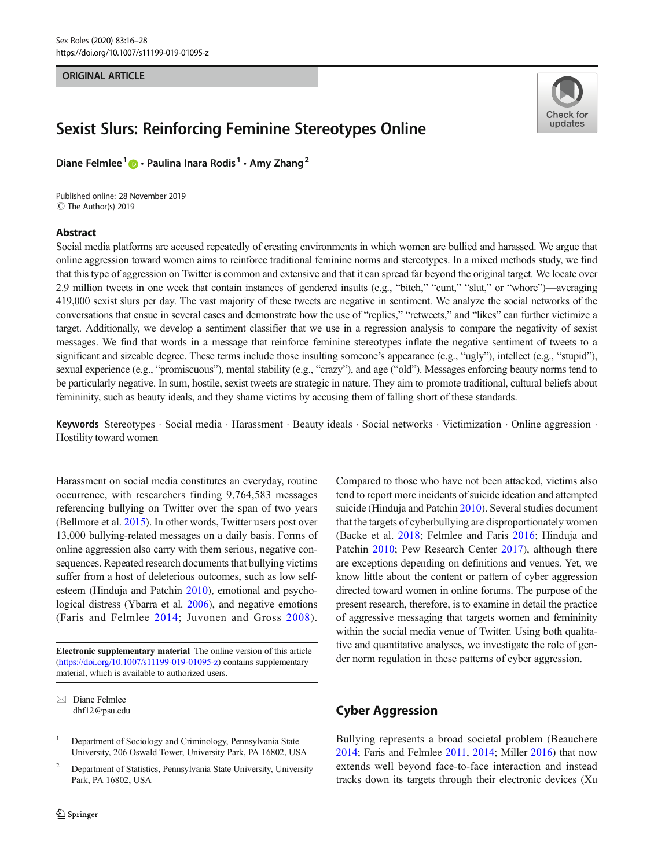## ORIGINAL ARTICLE

# Sexist Slurs: Reinforcing Feminine Stereotypes Online

Diane Felmlee<sup>1</sup>  $\bullet$  · Paulina Inara Rodis<sup>1</sup> · Amy Zhang<sup>2</sup>

C The Author(s) 2019 Published online: 28 November 2019

## Abstract



Social media platforms are accused repeatedly of creating environments in which women are bullied and harassed. We argue that online aggression toward women aims to reinforce traditional feminine norms and stereotypes. In a mixed methods study, we find that this type of aggression on Twitter is common and extensive and that it can spread far beyond the original target. We locate over 2.9 million tweets in one week that contain instances of gendered insults (e.g., "bitch," "cunt," "slut," or "whore")—averaging 419,000 sexist slurs per day. The vast majority of these tweets are negative in sentiment. We analyze the social networks of the conversations that ensue in several cases and demonstrate how the use of "replies," "retweets," and "likes" can further victimize a target. Additionally, we develop a sentiment classifier that we use in a regression analysis to compare the negativity of sexist messages. We find that words in a message that reinforce feminine stereotypes inflate the negative sentiment of tweets to a significant and sizeable degree. These terms include those insulting someone's appearance (e.g., "ugly"), intellect (e.g., "stupid"), sexual experience (e.g., "promiscuous"), mental stability (e.g., "crazy"), and age ("old"). Messages enforcing beauty norms tend to be particularly negative. In sum, hostile, sexist tweets are strategic in nature. They aim to promote traditional, cultural beliefs about femininity, such as beauty ideals, and they shame victims by accusing them of falling short of these standards.

Keywords Stereotypes . Social media . Harassment . Beauty ideals . Social networks . Victimization . Online aggression . Hostility toward women

Harassment on social media constitutes an everyday, routine occurrence, with researchers finding 9,764,583 messages referencing bullying on Twitter over the span of two years (Bellmore et al. [2015\)](#page-11-0). In other words, Twitter users post over 13,000 bullying-related messages on a daily basis. Forms of online aggression also carry with them serious, negative consequences. Repeated research documents that bullying victims suffer from a host of deleterious outcomes, such as low selfesteem (Hinduja and Patchin [2010](#page-11-0)), emotional and psycho-logical distress (Ybarra et al. [2006](#page-12-0)), and negative emotions (Faris and Felmlee [2014;](#page-11-0) Juvonen and Gross [2008\)](#page-11-0).

Electronic supplementary material The online version of this article (<https://doi.org/10.1007/s11199-019-01095-z>) contains supplementary material, which is available to authorized users.

<sup>2</sup> Department of Statistics, Pennsylvania State University, University Park, PA 16802, USA

Compared to those who have not been attacked, victims also tend to report more incidents of suicide ideation and attempted suicide (Hinduja and Patchin [2010\)](#page-11-0). Several studies document that the targets of cyberbullying are disproportionately women (Backe et al. [2018;](#page-10-0) Felmlee and Faris [2016](#page-11-0); Hinduja and Patchin [2010](#page-11-0); Pew Research Center [2017\)](#page-11-0), although there are exceptions depending on definitions and venues. Yet, we know little about the content or pattern of cyber aggression directed toward women in online forums. The purpose of the present research, therefore, is to examine in detail the practice of aggressive messaging that targets women and femininity within the social media venue of Twitter. Using both qualitative and quantitative analyses, we investigate the role of gender norm regulation in these patterns of cyber aggression.

# Cyber Aggression

Bullying represents a broad societal problem (Beauchere [2014;](#page-11-0) Faris and Felmlee [2011](#page-11-0), [2014](#page-11-0); Miller [2016](#page-11-0)) that now extends well beyond face-to-face interaction and instead tracks down its targets through their electronic devices (Xu

 $\boxtimes$  Diane Felmlee [dhf12@psu.edu](mailto:dhf12@psu.edu)

<sup>&</sup>lt;sup>1</sup> Department of Sociology and Criminology, Pennsylvania State University, 206 Oswald Tower, University Park, PA 16802, USA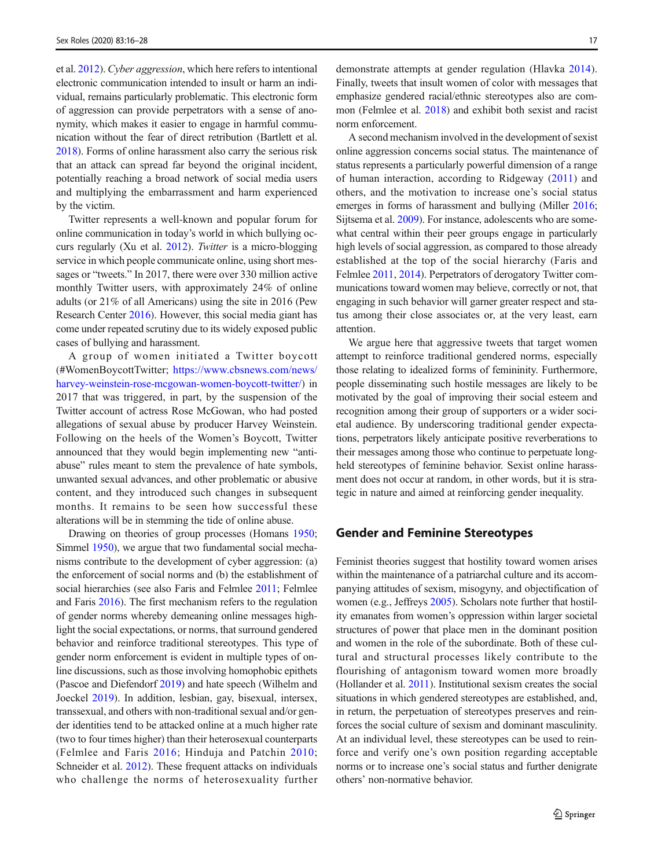et al. [2012\)](#page-12-0). Cyber aggression, which here refers to intentional electronic communication intended to insult or harm an individual, remains particularly problematic. This electronic form of aggression can provide perpetrators with a sense of anonymity, which makes it easier to engage in harmful communication without the fear of direct retribution (Bartlett et al. [2018\)](#page-11-0). Forms of online harassment also carry the serious risk that an attack can spread far beyond the original incident, potentially reaching a broad network of social media users and multiplying the embarrassment and harm experienced by the victim.

Twitter represents a well-known and popular forum for online communication in today's world in which bullying occurs regularly (Xu et al. [2012\)](#page-12-0). Twitter is a micro-blogging service in which people communicate online, using short messages or "tweets." In 2017, there were over 330 million active monthly Twitter users, with approximately 24% of online adults (or 21% of all Americans) using the site in 2016 (Pew Research Center [2016](#page-11-0)). However, this social media giant has come under repeated scrutiny due to its widely exposed public cases of bullying and harassment.

A group of women initiated a Twitter boycott (#WomenBoycottTwitter; [https://www.cbsnews.com/news/](https://www.cbsnews.com/news/harvey-weinstein-rose-mcgowan-women-boycott-twitter/) [harvey-weinstein-rose-mcgowan-women-boycott-twitter/\)](https://www.cbsnews.com/news/harvey-weinstein-rose-mcgowan-women-boycott-twitter/) in 2017 that was triggered, in part, by the suspension of the Twitter account of actress Rose McGowan, who had posted allegations of sexual abuse by producer Harvey Weinstein. Following on the heels of the Women's Boycott, Twitter announced that they would begin implementing new "antiabuse" rules meant to stem the prevalence of hate symbols, unwanted sexual advances, and other problematic or abusive content, and they introduced such changes in subsequent months. It remains to be seen how successful these alterations will be in stemming the tide of online abuse.

Drawing on theories of group processes (Homans [1950](#page-11-0); Simmel [1950](#page-11-0)), we argue that two fundamental social mechanisms contribute to the development of cyber aggression: (a) the enforcement of social norms and (b) the establishment of social hierarchies (see also Faris and Felmlee [2011](#page-11-0); Felmlee and Faris [2016](#page-11-0)). The first mechanism refers to the regulation of gender norms whereby demeaning online messages highlight the social expectations, or norms, that surround gendered behavior and reinforce traditional stereotypes. This type of gender norm enforcement is evident in multiple types of online discussions, such as those involving homophobic epithets (Pascoe and Diefendorf [2019](#page-11-0)) and hate speech (Wilhelm and Joeckel [2019\)](#page-12-0). In addition, lesbian, gay, bisexual, intersex, transsexual, and others with non-traditional sexual and/or gender identities tend to be attacked online at a much higher rate (two to four times higher) than their heterosexual counterparts (Felmlee and Faris [2016](#page-11-0); Hinduja and Patchin [2010](#page-11-0); Schneider et al. [2012](#page-11-0)). These frequent attacks on individuals who challenge the norms of heterosexuality further

demonstrate attempts at gender regulation (Hlavka [2014](#page-11-0)). Finally, tweets that insult women of color with messages that emphasize gendered racial/ethnic stereotypes also are common (Felmlee et al. [2018\)](#page-11-0) and exhibit both sexist and racist norm enforcement.

A second mechanism involved in the development of sexist online aggression concerns social status. The maintenance of status represents a particularly powerful dimension of a range of human interaction, according to Ridgeway ([2011\)](#page-11-0) and others, and the motivation to increase one's social status emerges in forms of harassment and bullying (Miller [2016;](#page-11-0) Sijtsema et al. [2009\)](#page-11-0). For instance, adolescents who are somewhat central within their peer groups engage in particularly high levels of social aggression, as compared to those already established at the top of the social hierarchy (Faris and Felmlee [2011,](#page-11-0) [2014](#page-11-0)). Perpetrators of derogatory Twitter communications toward women may believe, correctly or not, that engaging in such behavior will garner greater respect and status among their close associates or, at the very least, earn attention.

We argue here that aggressive tweets that target women attempt to reinforce traditional gendered norms, especially those relating to idealized forms of femininity. Furthermore, people disseminating such hostile messages are likely to be motivated by the goal of improving their social esteem and recognition among their group of supporters or a wider societal audience. By underscoring traditional gender expectations, perpetrators likely anticipate positive reverberations to their messages among those who continue to perpetuate longheld stereotypes of feminine behavior. Sexist online harassment does not occur at random, in other words, but it is strategic in nature and aimed at reinforcing gender inequality.

# Gender and Feminine Stereotypes

Feminist theories suggest that hostility toward women arises within the maintenance of a patriarchal culture and its accompanying attitudes of sexism, misogyny, and objectification of women (e.g., Jeffreys [2005\)](#page-11-0). Scholars note further that hostility emanates from women's oppression within larger societal structures of power that place men in the dominant position and women in the role of the subordinate. Both of these cultural and structural processes likely contribute to the flourishing of antagonism toward women more broadly (Hollander et al. [2011](#page-11-0)). Institutional sexism creates the social situations in which gendered stereotypes are established, and, in return, the perpetuation of stereotypes preserves and reinforces the social culture of sexism and dominant masculinity. At an individual level, these stereotypes can be used to reinforce and verify one's own position regarding acceptable norms or to increase one's social status and further denigrate others' non-normative behavior.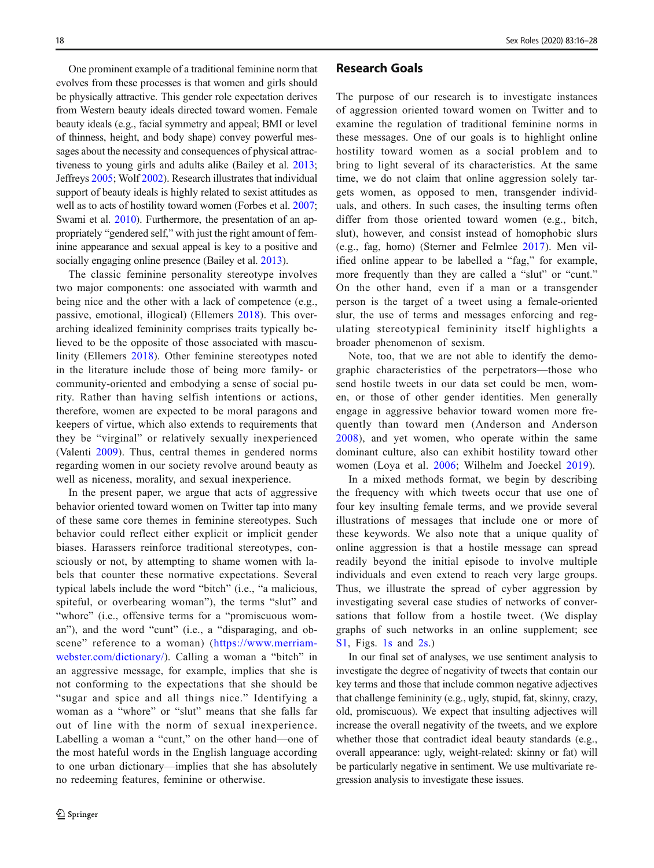One prominent example of a traditional feminine norm that evolves from these processes is that women and girls should be physically attractive. This gender role expectation derives from Western beauty ideals directed toward women. Female beauty ideals (e.g., facial symmetry and appeal; BMI or level of thinness, height, and body shape) convey powerful messages about the necessity and consequences of physical attractiveness to young girls and adults alike (Bailey et al. [2013](#page-10-0); Jeffreys [2005](#page-11-0); Wolf [2002\)](#page-12-0). Research illustrates that individual support of beauty ideals is highly related to sexist attitudes as well as to acts of hostility toward women (Forbes et al. [2007](#page-11-0); Swami et al. [2010\)](#page-12-0). Furthermore, the presentation of an appropriately "gendered self," with just the right amount of feminine appearance and sexual appeal is key to a positive and socially engaging online presence (Bailey et al. [2013](#page-10-0)).

The classic feminine personality stereotype involves two major components: one associated with warmth and being nice and the other with a lack of competence (e.g., passive, emotional, illogical) (Ellemers [2018\)](#page-11-0). This overarching idealized femininity comprises traits typically believed to be the opposite of those associated with masculinity (Ellemers [2018](#page-11-0)). Other feminine stereotypes noted in the literature include those of being more family- or community-oriented and embodying a sense of social purity. Rather than having selfish intentions or actions, therefore, women are expected to be moral paragons and keepers of virtue, which also extends to requirements that they be "virginal" or relatively sexually inexperienced (Valenti [2009\)](#page-12-0). Thus, central themes in gendered norms regarding women in our society revolve around beauty as well as niceness, morality, and sexual inexperience.

In the present paper, we argue that acts of aggressive behavior oriented toward women on Twitter tap into many of these same core themes in feminine stereotypes. Such behavior could reflect either explicit or implicit gender biases. Harassers reinforce traditional stereotypes, consciously or not, by attempting to shame women with labels that counter these normative expectations. Several typical labels include the word "bitch" (i.e., "a malicious, spiteful, or overbearing woman"), the terms "slut" and "whore" (i.e., offensive terms for a "promiscuous woman"), and the word "cunt" (i.e., a "disparaging, and obscene" reference to a woman) ([https://www.merriam](https://www.merriam-webster.com/dictionary/)[webster.com/dictionary/](https://www.merriam-webster.com/dictionary/)). Calling a woman a "bitch" in an aggressive message, for example, implies that she is not conforming to the expectations that she should be "sugar and spice and all things nice." Identifying a woman as a "whore" or "slut" means that she falls far out of line with the norm of sexual inexperience. Labelling a woman a "cunt," on the other hand—one of the most hateful words in the English language according to one urban dictionary—implies that she has absolutely no redeeming features, feminine or otherwise.

# Research Goals

The purpose of our research is to investigate instances of aggression oriented toward women on Twitter and to examine the regulation of traditional feminine norms in these messages. One of our goals is to highlight online hostility toward women as a social problem and to bring to light several of its characteristics. At the same time, we do not claim that online aggression solely targets women, as opposed to men, transgender individuals, and others. In such cases, the insulting terms often differ from those oriented toward women (e.g., bitch, slut), however, and consist instead of homophobic slurs (e.g., fag, homo) (Sterner and Felmlee [2017\)](#page-12-0). Men vilified online appear to be labelled a "fag," for example, more frequently than they are called a "slut" or "cunt." On the other hand, even if a man or a transgender person is the target of a tweet using a female-oriented slur, the use of terms and messages enforcing and regulating stereotypical femininity itself highlights a broader phenomenon of sexism.

Note, too, that we are not able to identify the demographic characteristics of the perpetrators—those who send hostile tweets in our data set could be men, women, or those of other gender identities. Men generally engage in aggressive behavior toward women more frequently than toward men (Anderson and Anderson [2008\)](#page-10-0), and yet women, who operate within the same dominant culture, also can exhibit hostility toward other women (Loya et al. [2006](#page-11-0); Wilhelm and Joeckel [2019](#page-12-0)).

In a mixed methods format, we begin by describing the frequency with which tweets occur that use one of four key insulting female terms, and we provide several illustrations of messages that include one or more of these keywords. We also note that a unique quality of online aggression is that a hostile message can spread readily beyond the initial episode to involve multiple individuals and even extend to reach very large groups. Thus, we illustrate the spread of cyber aggression by investigating several case studies of networks of conversations that follow from a hostile tweet. (We display graphs of such networks in an online supplement; see S1, Figs. 1s and 2s.)

In our final set of analyses, we use sentiment analysis to investigate the degree of negativity of tweets that contain our key terms and those that include common negative adjectives that challenge femininity (e.g., ugly, stupid, fat, skinny, crazy, old, promiscuous). We expect that insulting adjectives will increase the overall negativity of the tweets, and we explore whether those that contradict ideal beauty standards (e.g., overall appearance: ugly, weight-related: skinny or fat) will be particularly negative in sentiment. We use multivariate regression analysis to investigate these issues.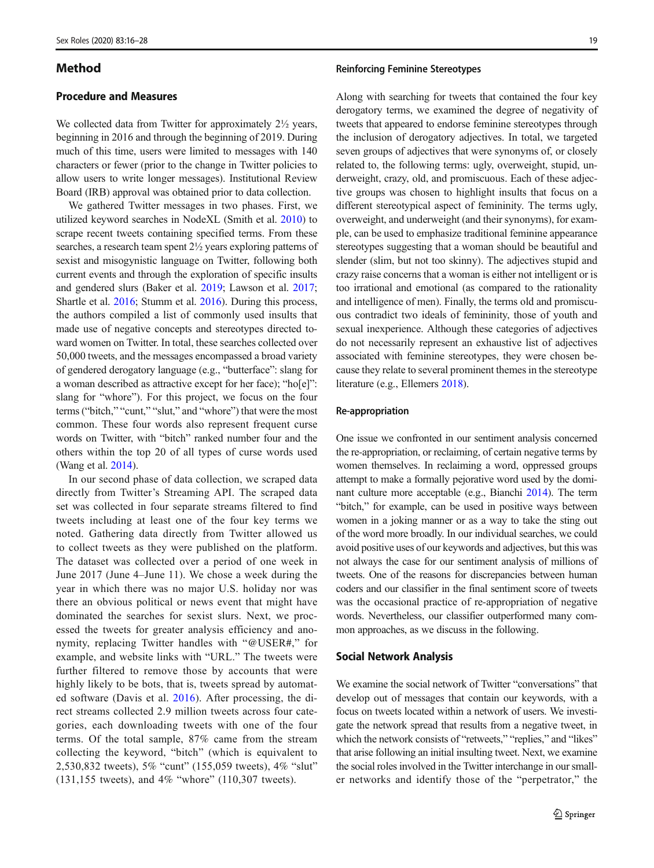# Method

# Procedure and Measures

We collected data from Twitter for approximately 2<sup>1/2</sup> years, beginning in 2016 and through the beginning of 2019. During much of this time, users were limited to messages with 140 characters or fewer (prior to the change in Twitter policies to allow users to write longer messages). Institutional Review Board (IRB) approval was obtained prior to data collection.

We gathered Twitter messages in two phases. First, we utilized keyword searches in NodeXL (Smith et al. [2010](#page-11-0)) to scrape recent tweets containing specified terms. From these searches, a research team spent 2½ years exploring patterns of sexist and misogynistic language on Twitter, following both current events and through the exploration of specific insults and gendered slurs (Baker et al. [2019;](#page-10-0) Lawson et al. [2017](#page-11-0); Shartle et al. [2016](#page-11-0); Stumm et al. [2016\)](#page-12-0). During this process, the authors compiled a list of commonly used insults that made use of negative concepts and stereotypes directed toward women on Twitter. In total, these searches collected over 50,000 tweets, and the messages encompassed a broad variety of gendered derogatory language (e.g., "butterface": slang for a woman described as attractive except for her face); "ho[e]": slang for "whore"). For this project, we focus on the four terms ("bitch," "cunt," "slut," and "whore") that were the most common. These four words also represent frequent curse words on Twitter, with "bitch" ranked number four and the others within the top 20 of all types of curse words used (Wang et al. [2014\)](#page-12-0).

In our second phase of data collection, we scraped data directly from Twitter's Streaming API. The scraped data set was collected in four separate streams filtered to find tweets including at least one of the four key terms we noted. Gathering data directly from Twitter allowed us to collect tweets as they were published on the platform. The dataset was collected over a period of one week in June 2017 (June 4–June 11). We chose a week during the year in which there was no major U.S. holiday nor was there an obvious political or news event that might have dominated the searches for sexist slurs. Next, we processed the tweets for greater analysis efficiency and anonymity, replacing Twitter handles with "@USER#," for example, and website links with "URL." The tweets were further filtered to remove those by accounts that were highly likely to be bots, that is, tweets spread by automated software (Davis et al. [2016](#page-11-0)). After processing, the direct streams collected 2.9 million tweets across four categories, each downloading tweets with one of the four terms. Of the total sample, 87% came from the stream collecting the keyword, "bitch" (which is equivalent to 2,530,832 tweets), 5% "cunt" (155,059 tweets), 4% "slut" (131,155 tweets), and 4% "whore" (110,307 tweets).

#### Reinforcing Feminine Stereotypes

Along with searching for tweets that contained the four key derogatory terms, we examined the degree of negativity of tweets that appeared to endorse feminine stereotypes through the inclusion of derogatory adjectives. In total, we targeted seven groups of adjectives that were synonyms of, or closely related to, the following terms: ugly, overweight, stupid, underweight, crazy, old, and promiscuous. Each of these adjective groups was chosen to highlight insults that focus on a different stereotypical aspect of femininity. The terms ugly, overweight, and underweight (and their synonyms), for example, can be used to emphasize traditional feminine appearance stereotypes suggesting that a woman should be beautiful and slender (slim, but not too skinny). The adjectives stupid and crazy raise concerns that a woman is either not intelligent or is too irrational and emotional (as compared to the rationality and intelligence of men). Finally, the terms old and promiscuous contradict two ideals of femininity, those of youth and sexual inexperience. Although these categories of adjectives do not necessarily represent an exhaustive list of adjectives associated with feminine stereotypes, they were chosen because they relate to several prominent themes in the stereotype literature (e.g., Ellemers [2018\)](#page-11-0).

# Re-appropriation

One issue we confronted in our sentiment analysis concerned the re-appropriation, or reclaiming, of certain negative terms by women themselves. In reclaiming a word, oppressed groups attempt to make a formally pejorative word used by the dominant culture more acceptable (e.g., Bianchi [2014\)](#page-11-0). The term "bitch," for example, can be used in positive ways between women in a joking manner or as a way to take the sting out of the word more broadly. In our individual searches, we could avoid positive uses of our keywords and adjectives, but this was not always the case for our sentiment analysis of millions of tweets. One of the reasons for discrepancies between human coders and our classifier in the final sentiment score of tweets was the occasional practice of re-appropriation of negative words. Nevertheless, our classifier outperformed many common approaches, as we discuss in the following.

## Social Network Analysis

We examine the social network of Twitter "conversations" that develop out of messages that contain our keywords, with a focus on tweets located within a network of users. We investigate the network spread that results from a negative tweet, in which the network consists of "retweets," "replies," and "likes" that arise following an initial insulting tweet. Next, we examine the social roles involved in the Twitter interchange in our smaller networks and identify those of the "perpetrator," the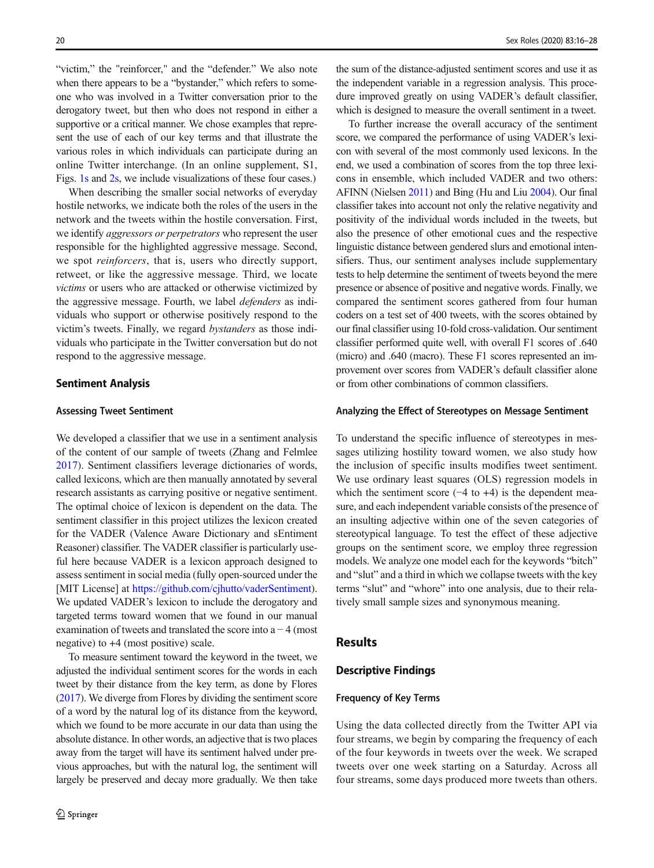"victim," the "reinforcer," and the "defender." We also note when there appears to be a "bystander," which refers to someone who was involved in a Twitter conversation prior to the derogatory tweet, but then who does not respond in either a supportive or a critical manner. We chose examples that represent the use of each of our key terms and that illustrate the various roles in which individuals can participate during an online Twitter interchange. (In an online supplement, S1, Figs. 1s and 2s, we include visualizations of these four cases.)

When describing the smaller social networks of everyday hostile networks, we indicate both the roles of the users in the network and the tweets within the hostile conversation. First, we identify *aggressors or perpetrators* who represent the user responsible for the highlighted aggressive message. Second, we spot *reinforcers*, that is, users who directly support, retweet, or like the aggressive message. Third, we locate victims or users who are attacked or otherwise victimized by the aggressive message. Fourth, we label defenders as individuals who support or otherwise positively respond to the victim's tweets. Finally, we regard bystanders as those individuals who participate in the Twitter conversation but do not respond to the aggressive message.

# Sentiment Analysis

## Assessing Tweet Sentiment

We developed a classifier that we use in a sentiment analysis of the content of our sample of tweets (Zhang and Felmlee [2017\)](#page-12-0). Sentiment classifiers leverage dictionaries of words, called lexicons, which are then manually annotated by several research assistants as carrying positive or negative sentiment. The optimal choice of lexicon is dependent on the data. The sentiment classifier in this project utilizes the lexicon created for the VADER (Valence Aware Dictionary and sEntiment Reasoner) classifier. The VADER classifier is particularly useful here because VADER is a lexicon approach designed to assess sentiment in social media (fully open-sourced under the [MIT License] at [https://github.com/cjhutto/vaderSentiment\)](https://github.com/cjhutto/vaderSentiment). We updated VADER's lexicon to include the derogatory and targeted terms toward women that we found in our manual examination of tweets and translated the score into  $a - 4$  (most negative) to +4 (most positive) scale.

To measure sentiment toward the keyword in the tweet, we adjusted the individual sentiment scores for the words in each tweet by their distance from the key term, as done by Flores [\(2017](#page-11-0)). We diverge from Flores by dividing the sentiment score of a word by the natural log of its distance from the keyword, which we found to be more accurate in our data than using the absolute distance. In other words, an adjective that is two places away from the target will have its sentiment halved under previous approaches, but with the natural log, the sentiment will largely be preserved and decay more gradually. We then take

the sum of the distance-adjusted sentiment scores and use it as the independent variable in a regression analysis. This procedure improved greatly on using VADER's default classifier, which is designed to measure the overall sentiment in a tweet.

To further increase the overall accuracy of the sentiment score, we compared the performance of using VADER's lexicon with several of the most commonly used lexicons. In the end, we used a combination of scores from the top three lexicons in ensemble, which included VADER and two others: AFINN (Nielsen [2011](#page-11-0)) and Bing (Hu and Liu [2004](#page-11-0)). Our final classifier takes into account not only the relative negativity and positivity of the individual words included in the tweets, but also the presence of other emotional cues and the respective linguistic distance between gendered slurs and emotional intensifiers. Thus, our sentiment analyses include supplementary tests to help determine the sentiment of tweets beyond the mere presence or absence of positive and negative words. Finally, we compared the sentiment scores gathered from four human coders on a test set of 400 tweets, with the scores obtained by our final classifier using 10-fold cross-validation. Our sentiment classifier performed quite well, with overall F1 scores of .640 (micro) and .640 (macro). These F1 scores represented an improvement over scores from VADER's default classifier alone or from other combinations of common classifiers.

# Analyzing the Effect of Stereotypes on Message Sentiment

To understand the specific influence of stereotypes in messages utilizing hostility toward women, we also study how the inclusion of specific insults modifies tweet sentiment. We use ordinary least squares (OLS) regression models in which the sentiment score  $(-4 \text{ to } +4)$  is the dependent measure, and each independent variable consists of the presence of an insulting adjective within one of the seven categories of stereotypical language. To test the effect of these adjective groups on the sentiment score, we employ three regression models. We analyze one model each for the keywords "bitch" and "slut" and a third in which we collapse tweets with the key terms "slut" and "whore" into one analysis, due to their relatively small sample sizes and synonymous meaning.

# Results

#### Descriptive Findings

#### Frequency of Key Terms

Using the data collected directly from the Twitter API via four streams, we begin by comparing the frequency of each of the four keywords in tweets over the week. We scraped tweets over one week starting on a Saturday. Across all four streams, some days produced more tweets than others.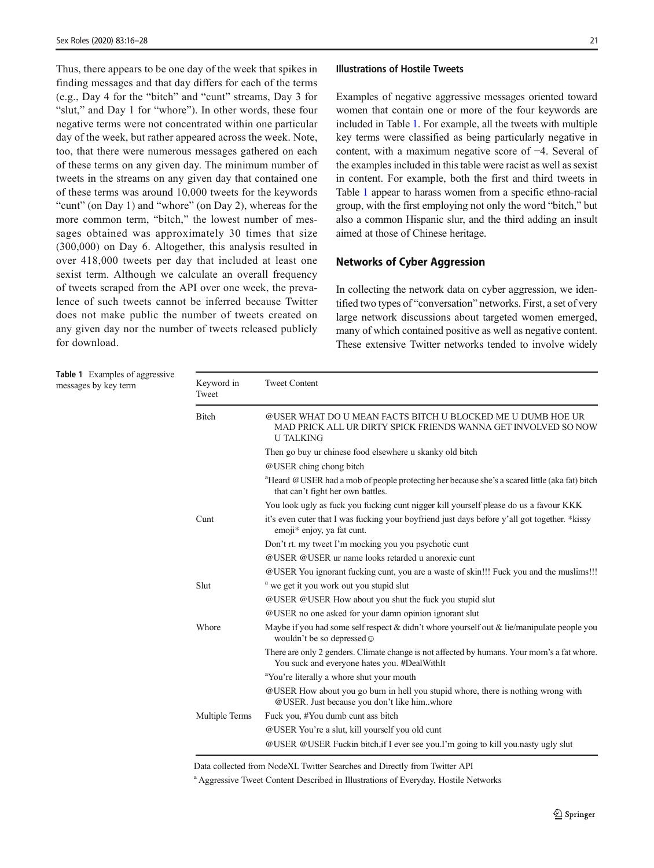<span id="page-5-0"></span>Thus, there appears to be one day of the week that spikes in finding messages and that day differs for each of the terms (e.g., Day 4 for the "bitch" and "cunt" streams, Day 3 for "slut," and Day 1 for "whore"). In other words, these four negative terms were not concentrated within one particular day of the week, but rather appeared across the week. Note, too, that there were numerous messages gathered on each of these terms on any given day. The minimum number of tweets in the streams on any given day that contained one of these terms was around 10,000 tweets for the keywords "cunt" (on Day 1) and "whore" (on Day 2), whereas for the more common term, "bitch," the lowest number of messages obtained was approximately 30 times that size (300,000) on Day 6. Altogether, this analysis resulted in over 418,000 tweets per day that included at least one sexist term. Although we calculate an overall frequency of tweets scraped from the API over one week, the prevalence of such tweets cannot be inferred because Twitter does not make public the number of tweets created on any given day nor the number of tweets released publicly for download.

Table 1 Examples of aggressive messages by key term

#### Illustrations of Hostile Tweets

Examples of negative aggressive messages oriented toward women that contain one or more of the four keywords are included in Table 1. For example, all the tweets with multiple key terms were classified as being particularly negative in content, with a maximum negative score of −4. Several of the examples included in this table were racist as well as sexist in content. For example, both the first and third tweets in Table 1 appear to harass women from a specific ethno-racial group, with the first employing not only the word "bitch," but also a common Hispanic slur, and the third adding an insult aimed at those of Chinese heritage.

## Networks of Cyber Aggression

In collecting the network data on cyber aggression, we identified two types of "conversation" networks. First, a set of very large network discussions about targeted women emerged, many of which contained positive as well as negative content. These extensive Twitter networks tended to involve widely

| Keyword in<br>Tweet | <b>Tweet Content</b>                                                                                                                              |  |  |  |  |
|---------------------|---------------------------------------------------------------------------------------------------------------------------------------------------|--|--|--|--|
| <b>Bitch</b>        | @USER WHAT DO U MEAN FACTS BITCH U BLOCKED ME U DUMB HOE UR<br>MAD PRICK ALL UR DIRTY SPICK FRIENDS WANNA GET INVOLVED SO NOW<br><b>U TALKING</b> |  |  |  |  |
|                     | Then go buy ur chinese food elsewhere u skanky old bitch                                                                                          |  |  |  |  |
|                     | @USER ching chong bitch                                                                                                                           |  |  |  |  |
|                     | <sup>a</sup> Heard @USER had a mob of people protecting her because she's a scared little (aka fat) bitch<br>that can't fight her own battles.    |  |  |  |  |
|                     | You look ugly as fuck you fucking cunt nigger kill yourself please do us a favour KKK                                                             |  |  |  |  |
| Cunt                | it's even cuter that I was fucking your boyfriend just days before y'all got together. *kissy<br>emoji* enjoy, ya fat cunt.                       |  |  |  |  |
|                     | Don't rt. my tweet I'm mocking you you psychotic cunt                                                                                             |  |  |  |  |
|                     | @USER @USER ur name looks retarded u anorexic cunt                                                                                                |  |  |  |  |
|                     | @USER You ignorant fucking cunt, you are a waste of skin!!! Fuck you and the muslims!!!                                                           |  |  |  |  |
| Slut                | <sup>a</sup> we get it you work out you stupid slut                                                                                               |  |  |  |  |
|                     | @USER @USER How about you shut the fuck you stupid slut                                                                                           |  |  |  |  |
|                     | @USER no one asked for your damn opinion ignorant slut                                                                                            |  |  |  |  |
| Whore               | Maybe if you had some self respect $\&$ didn't whore yourself out $\&$ lie/manipulate people you<br>wouldn't be so depressed $\odot$              |  |  |  |  |
|                     | There are only 2 genders. Climate change is not affected by humans. Your mom's a fat whore.<br>You suck and everyone hates you. #DealWithIt       |  |  |  |  |
|                     | <sup>a</sup> You're literally a whore shut your mouth                                                                                             |  |  |  |  |
|                     | @USER How about you go burn in hell you stupid whore, there is nothing wrong with<br>@USER. Just because you don't like himwhore                  |  |  |  |  |
| Multiple Terms      | Fuck you, #You dumb cunt ass bitch                                                                                                                |  |  |  |  |
|                     | @USER You're a slut, kill yourself you old cunt                                                                                                   |  |  |  |  |
|                     | @USER @USER Fuckin bitch, if I ever see you. I'm going to kill you nasty ugly slut                                                                |  |  |  |  |
|                     |                                                                                                                                                   |  |  |  |  |

Data collected from NodeXL Twitter Searches and Directly from Twitter API

<sup>a</sup> Aggressive Tweet Content Described in Illustrations of Everyday, Hostile Networks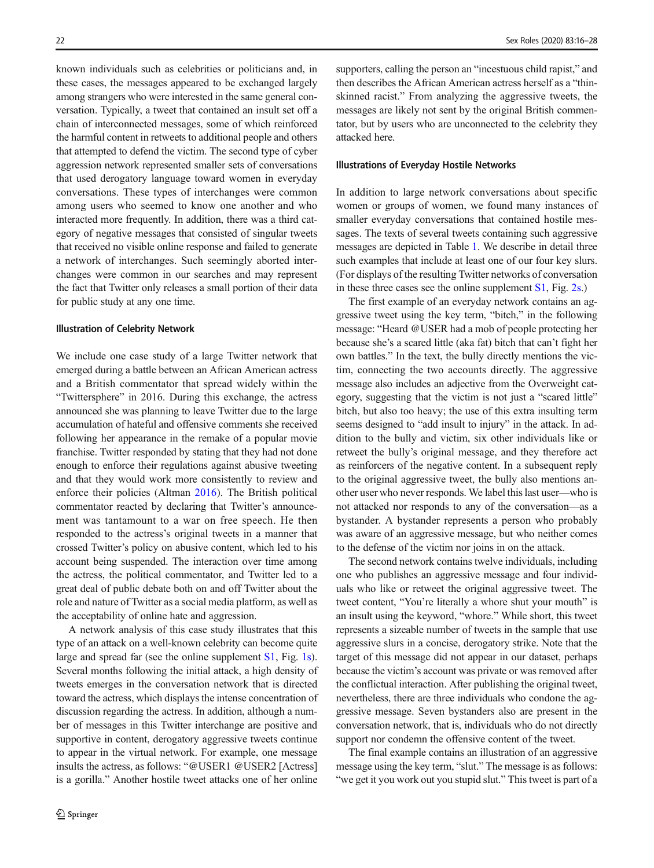known individuals such as celebrities or politicians and, in these cases, the messages appeared to be exchanged largely among strangers who were interested in the same general conversation. Typically, a tweet that contained an insult set off a chain of interconnected messages, some of which reinforced the harmful content in retweets to additional people and others that attempted to defend the victim. The second type of cyber aggression network represented smaller sets of conversations that used derogatory language toward women in everyday conversations. These types of interchanges were common among users who seemed to know one another and who interacted more frequently. In addition, there was a third category of negative messages that consisted of singular tweets that received no visible online response and failed to generate a network of interchanges. Such seemingly aborted interchanges were common in our searches and may represent the fact that Twitter only releases a small portion of their data for public study at any one time.

#### Illustration of Celebrity Network

We include one case study of a large Twitter network that emerged during a battle between an African American actress and a British commentator that spread widely within the "Twittersphere" in 2016. During this exchange, the actress announced she was planning to leave Twitter due to the large accumulation of hateful and offensive comments she received following her appearance in the remake of a popular movie franchise. Twitter responded by stating that they had not done enough to enforce their regulations against abusive tweeting and that they would work more consistently to review and enforce their policies (Altman [2016](#page-10-0)). The British political commentator reacted by declaring that Twitter's announcement was tantamount to a war on free speech. He then responded to the actress's original tweets in a manner that crossed Twitter's policy on abusive content, which led to his account being suspended. The interaction over time among the actress, the political commentator, and Twitter led to a great deal of public debate both on and off Twitter about the role and nature of Twitter as a social media platform, as well as the acceptability of online hate and aggression.

A network analysis of this case study illustrates that this type of an attack on a well-known celebrity can become quite large and spread far (see the online supplement S1, Fig. 1s). Several months following the initial attack, a high density of tweets emerges in the conversation network that is directed toward the actress, which displays the intense concentration of discussion regarding the actress. In addition, although a number of messages in this Twitter interchange are positive and supportive in content, derogatory aggressive tweets continue to appear in the virtual network. For example, one message insults the actress, as follows: "@USER1 @USER2 [Actress] is a gorilla." Another hostile tweet attacks one of her online

supporters, calling the person an "incestuous child rapist," and then describes the African American actress herself as a "thinskinned racist." From analyzing the aggressive tweets, the messages are likely not sent by the original British commentator, but by users who are unconnected to the celebrity they attacked here.

#### Illustrations of Everyday Hostile Networks

In addition to large network conversations about specific women or groups of women, we found many instances of smaller everyday conversations that contained hostile messages. The texts of several tweets containing such aggressive messages are depicted in Table [1.](#page-5-0) We describe in detail three such examples that include at least one of our four key slurs. (For displays of the resulting Twitter networks of conversation in these three cases see the online supplement S1, Fig. 2s.)

The first example of an everyday network contains an aggressive tweet using the key term, "bitch," in the following message: "Heard @USER had a mob of people protecting her because she's a scared little (aka fat) bitch that can't fight her own battles." In the text, the bully directly mentions the victim, connecting the two accounts directly. The aggressive message also includes an adjective from the Overweight category, suggesting that the victim is not just a "scared little" bitch, but also too heavy; the use of this extra insulting term seems designed to "add insult to injury" in the attack. In addition to the bully and victim, six other individuals like or retweet the bully's original message, and they therefore act as reinforcers of the negative content. In a subsequent reply to the original aggressive tweet, the bully also mentions another user who never responds. We label this last user—who is not attacked nor responds to any of the conversation—as a bystander. A bystander represents a person who probably was aware of an aggressive message, but who neither comes to the defense of the victim nor joins in on the attack.

The second network contains twelve individuals, including one who publishes an aggressive message and four individuals who like or retweet the original aggressive tweet. The tweet content, "You're literally a whore shut your mouth" is an insult using the keyword, "whore." While short, this tweet represents a sizeable number of tweets in the sample that use aggressive slurs in a concise, derogatory strike. Note that the target of this message did not appear in our dataset, perhaps because the victim's account was private or was removed after the conflictual interaction. After publishing the original tweet, nevertheless, there are three individuals who condone the aggressive message. Seven bystanders also are present in the conversation network, that is, individuals who do not directly support nor condemn the offensive content of the tweet.

The final example contains an illustration of an aggressive message using the key term, "slut." The message is as follows: "we get it you work out you stupid slut." This tweet is part of a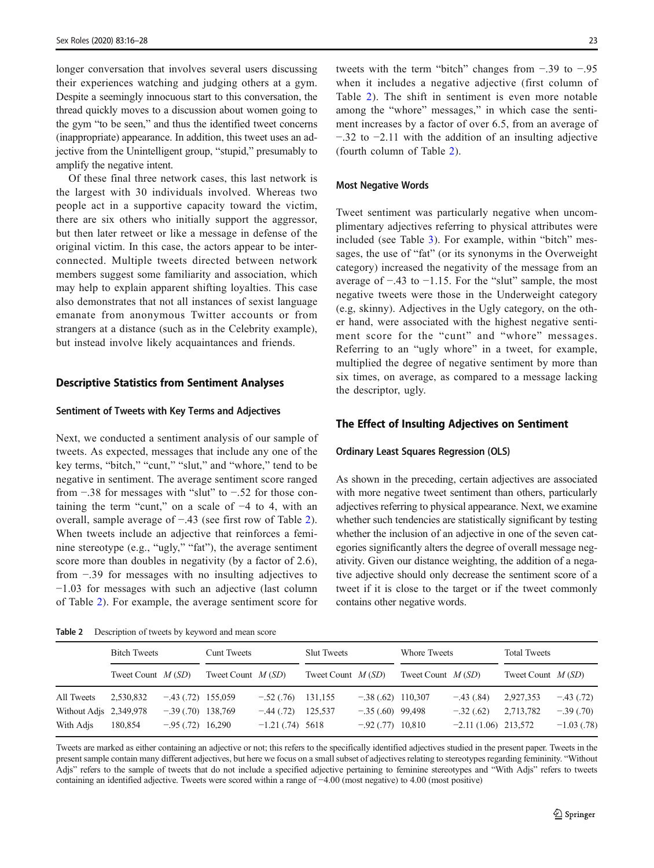longer conversation that involves several users discussing their experiences watching and judging others at a gym. Despite a seemingly innocuous start to this conversation, the thread quickly moves to a discussion about women going to the gym "to be seen," and thus the identified tweet concerns (inappropriate) appearance. In addition, this tweet uses an adjective from the Unintelligent group, "stupid," presumably to amplify the negative intent.

Of these final three network cases, this last network is the largest with 30 individuals involved. Whereas two people act in a supportive capacity toward the victim, there are six others who initially support the aggressor, but then later retweet or like a message in defense of the original victim. In this case, the actors appear to be interconnected. Multiple tweets directed between network members suggest some familiarity and association, which may help to explain apparent shifting loyalties. This case also demonstrates that not all instances of sexist language emanate from anonymous Twitter accounts or from strangers at a distance (such as in the Celebrity example), but instead involve likely acquaintances and friends.

#### Descriptive Statistics from Sentiment Analyses

## Sentiment of Tweets with Key Terms and Adjectives

Next, we conducted a sentiment analysis of our sample of tweets. As expected, messages that include any one of the key terms, "bitch," "cunt," "slut," and "whore," tend to be negative in sentiment. The average sentiment score ranged from −.38 for messages with "slut" to −.52 for those containing the term "cunt," on a scale of −4 to 4, with an overall, sample average of −.43 (see first row of Table 2). When tweets include an adjective that reinforces a feminine stereotype (e.g., "ugly," "fat"), the average sentiment score more than doubles in negativity (by a factor of 2.6), from −.39 for messages with no insulting adjectives to −1.03 for messages with such an adjective (last column of Table 2). For example, the average sentiment score for

Table 2 Description of tweets by keyword and mean score

tweets with the term "bitch" changes from −.39 to −.95 when it includes a negative adjective (first column of Table 2). The shift in sentiment is even more notable among the "whore" messages," in which case the sentiment increases by a factor of over 6.5, from an average of −.32 to −2.11 with the addition of an insulting adjective (fourth column of Table 2).

#### Most Negative Words

Tweet sentiment was particularly negative when uncomplimentary adjectives referring to physical attributes were included (see Table [3](#page-8-0)). For example, within "bitch" messages, the use of "fat" (or its synonyms in the Overweight category) increased the negativity of the message from an average of −.43 to −1.15. For the "slut" sample, the most negative tweets were those in the Underweight category (e.g, skinny). Adjectives in the Ugly category, on the other hand, were associated with the highest negative sentiment score for the "cunt" and "whore" messages. Referring to an "ugly whore" in a tweet, for example, multiplied the degree of negative sentiment by more than six times, on average, as compared to a message lacking the descriptor, ugly.

## The Effect of Insulting Adjectives on Sentiment

#### Ordinary Least Squares Regression (OLS)

As shown in the preceding, certain adjectives are associated with more negative tweet sentiment than others, particularly adjectives referring to physical appearance. Next, we examine whether such tendencies are statistically significant by testing whether the inclusion of an adjective in one of the seven categories significantly alters the degree of overall message negativity. Given our distance weighting, the addition of a negative adjective should only decrease the sentiment score of a tweet if it is close to the target or if the tweet commonly contains other negative words.

|                        | <b>Bitch Tweets</b> |                     | <b>Cunt Tweets</b>  |                   | <b>Slut Tweets</b>  |                     | Whore Tweets        |                       | <b>Total Tweets</b> |               |
|------------------------|---------------------|---------------------|---------------------|-------------------|---------------------|---------------------|---------------------|-----------------------|---------------------|---------------|
|                        | Tweet Count $M(SD)$ |                     | Tweet Count $M(SD)$ |                   | Tweet Count $M(SD)$ |                     | Tweet Count $M(SD)$ |                       | Tweet Count $M(SD)$ |               |
| All Tweets             | 2,530,832           | $-.43(.72)$ 155,059 |                     | $-.52(.76)$       | 131,155             | $-.38(.62)$ 110,307 |                     | $-.43(.84)$           | 2,927,353           | $-.43(.72)$   |
| Without Adjs 2,349,978 |                     | $-.39(.70)$ 138,769 |                     | $-.44(.72)$       | 125.537             | $-.35(.60)$ 99,498  |                     | $-.32(.62)$           | 2,713,782           | $-.39(.70)$   |
| With Adis              | 180,854             | $-.95(.72)$ 16,290  |                     | $-1.21(.74)$ 5618 |                     | $-.92(.77)$ 10,810  |                     | $-2.11(1.06)$ 213,572 |                     | $-1.03(0.78)$ |

Tweets are marked as either containing an adjective or not; this refers to the specifically identified adjectives studied in the present paper. Tweets in the present sample contain many different adjectives, but here we focus on a small subset of adjectives relating to stereotypes regarding femininity. "Without Adjs" refers to the sample of tweets that do not include a specified adjective pertaining to feminine stereotypes and "With Adjs" refers to tweets containing an identified adjective. Tweets were scored within a range of −4.00 (most negative) to 4.00 (most positive)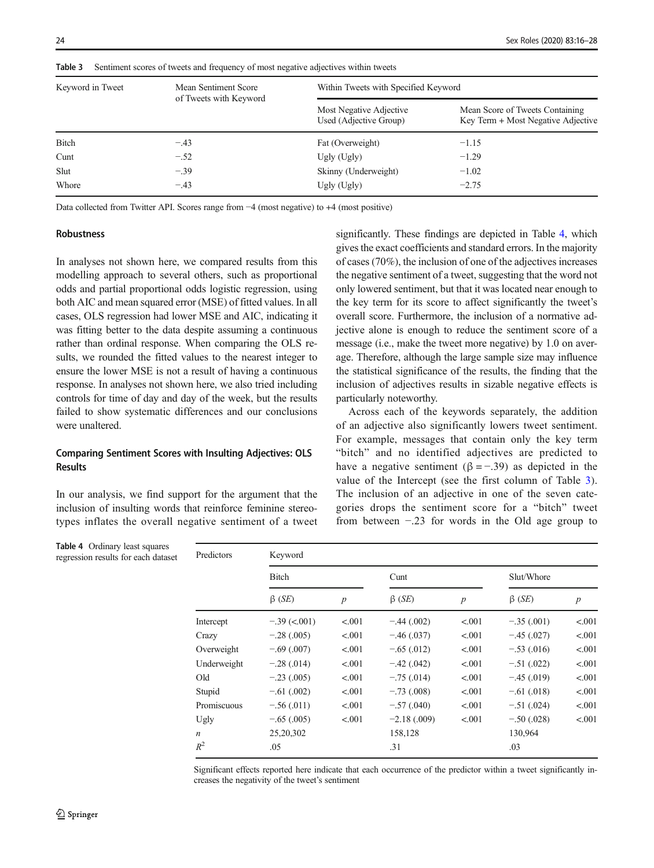| Keyword in Tweet | Mean Sentiment Score<br>of Tweets with Keyword | Within Tweets with Specified Keyword              |                                                                       |  |  |
|------------------|------------------------------------------------|---------------------------------------------------|-----------------------------------------------------------------------|--|--|
|                  |                                                | Most Negative Adjective<br>Used (Adjective Group) | Mean Score of Tweets Containing<br>Key Term + Most Negative Adjective |  |  |
| <b>Bitch</b>     | $-.43$                                         | Fat (Overweight)                                  | $-1.15$                                                               |  |  |
| Cunt             | $-.52$                                         | Ugly $(Ugly)$                                     | $-1.29$                                                               |  |  |
| Slut             | $-.39$                                         | Skinny (Underweight)                              | $-1.02$                                                               |  |  |
| Whore            | $-.43$                                         | Ugly (Ugly)                                       | $-2.75$                                                               |  |  |

<span id="page-8-0"></span>Table 3 Sentiment scores of tweets and frequency of most negative adjectives within tweets

Data collected from Twitter API. Scores range from −4 (most negative) to +4 (most positive)

## Robustness

In analyses not shown here, we compared results from this modelling approach to several others, such as proportional odds and partial proportional odds logistic regression, using both AIC and mean squared error (MSE) of fitted values. In all cases, OLS regression had lower MSE and AIC, indicating it was fitting better to the data despite assuming a continuous rather than ordinal response. When comparing the OLS results, we rounded the fitted values to the nearest integer to ensure the lower MSE is not a result of having a continuous response. In analyses not shown here, we also tried including controls for time of day and day of the week, but the results failed to show systematic differences and our conclusions were unaltered.

# Comparing Sentiment Scores with Insulting Adjectives: OLS Results

In our analysis, we find support for the argument that the inclusion of insulting words that reinforce feminine stereotypes inflates the overall negative sentiment of a tweet

Table 4 Ordinary least squares regression results for each dataset significantly. These findings are depicted in Table 4, which gives the exact coefficients and standard errors. In the majority of cases (70%), the inclusion of one of the adjectives increases the negative sentiment of a tweet, suggesting that the word not only lowered sentiment, but that it was located near enough to the key term for its score to affect significantly the tweet's overall score. Furthermore, the inclusion of a normative adjective alone is enough to reduce the sentiment score of a message (i.e., make the tweet more negative) by 1.0 on average. Therefore, although the large sample size may influence the statistical significance of the results, the finding that the inclusion of adjectives results in sizable negative effects is particularly noteworthy.

Across each of the keywords separately, the addition of an adjective also significantly lowers tweet sentiment. For example, messages that contain only the key term "bitch" and no identified adjectives are predicted to have a negative sentiment ( $\beta = -0.39$ ) as depicted in the value of the Intercept (see the first column of Table 3). The inclusion of an adjective in one of the seven categories drops the sentiment score for a "bitch" tweet from between −.23 for words in the Old age group to

| Predictors       | Keyword            |                  |                |                  |              |                  |  |  |  |
|------------------|--------------------|------------------|----------------|------------------|--------------|------------------|--|--|--|
|                  | <b>Bitch</b>       |                  | Cunt           |                  | Slut/Whore   |                  |  |  |  |
|                  | $\beta$ (SE)       | $\boldsymbol{p}$ | $\beta$ (SE)   | $\boldsymbol{p}$ | $\beta$ (SE) | $\boldsymbol{p}$ |  |  |  |
| Intercept        | $-.39$ ( $-.001$ ) | < 0.01           | $-.44(.002)$   | < 0.001          | $-.35(.001)$ | < 0.001          |  |  |  |
| Crazy            | $-.28(.005)$       | < 0.01           | $-.46(.037)$   | < 0.001          | $-.45(.027)$ | < 0.001          |  |  |  |
| Overweight       | $-.69(.007)$       | < 0.01           | $-.65(.012)$   | < 0.001          | $-.53(.016)$ | < 0.001          |  |  |  |
| Underweight      | $-.28(.014)$       | < 0.001          | $-.42(.042)$   | < 0.001          | $-.51(.022)$ | < 0.001          |  |  |  |
| Old              | $-.23(.005)$       | < 0.001          | $-.75(.014)$   | < 0.001          | $-.45(.019)$ | < 0.001          |  |  |  |
| Stupid           | $-.61(.002)$       | < 0.001          | $-.73(.008)$   | < 0.001          | $-.61(.018)$ | < 0.001          |  |  |  |
| Promiscuous      | $-.56(.011)$       | < 0.001          | $-.57(.040)$   | < 0.001          | $-.51(.024)$ | < 0.001          |  |  |  |
| Ugly             | $-.65(.005)$       | < 0.001          | $-2.18(0.009)$ | < 0.001          | $-.50(.028)$ | < 0.001          |  |  |  |
| $\boldsymbol{n}$ | 25,20,302          |                  | 158,128        |                  | 130,964      |                  |  |  |  |
| $R^2$            | .05                |                  | .31            |                  | .03          |                  |  |  |  |

Significant effects reported here indicate that each occurrence of the predictor within a tweet significantly increases the negativity of the tweet's sentiment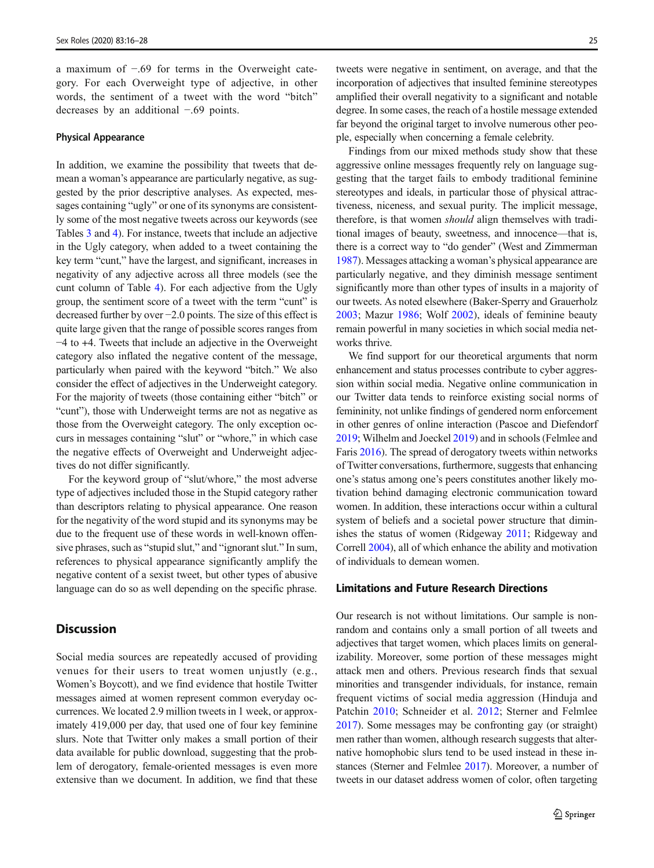a maximum of −.69 for terms in the Overweight category. For each Overweight type of adjective, in other words, the sentiment of a tweet with the word "bitch" decreases by an additional −.69 points.

#### Physical Appearance

In addition, we examine the possibility that tweets that demean a woman's appearance are particularly negative, as suggested by the prior descriptive analyses. As expected, messages containing "ugly" or one of its synonyms are consistently some of the most negative tweets across our keywords (see Tables [3](#page-8-0) and [4](#page-8-0)). For instance, tweets that include an adjective in the Ugly category, when added to a tweet containing the key term "cunt," have the largest, and significant, increases in negativity of any adjective across all three models (see the cunt column of Table [4\)](#page-8-0). For each adjective from the Ugly group, the sentiment score of a tweet with the term "cunt" is decreased further by over −2.0 points. The size of this effect is quite large given that the range of possible scores ranges from −4 to +4. Tweets that include an adjective in the Overweight category also inflated the negative content of the message, particularly when paired with the keyword "bitch." We also consider the effect of adjectives in the Underweight category. For the majority of tweets (those containing either "bitch" or "cunt"), those with Underweight terms are not as negative as those from the Overweight category. The only exception occurs in messages containing "slut" or "whore," in which case the negative effects of Overweight and Underweight adjectives do not differ significantly.

For the keyword group of "slut/whore," the most adverse type of adjectives included those in the Stupid category rather than descriptors relating to physical appearance. One reason for the negativity of the word stupid and its synonyms may be due to the frequent use of these words in well-known offensive phrases, such as "stupid slut," and "ignorant slut." In sum, references to physical appearance significantly amplify the negative content of a sexist tweet, but other types of abusive language can do so as well depending on the specific phrase.

# **Discussion**

Social media sources are repeatedly accused of providing venues for their users to treat women unjustly (e.g., Women's Boycott), and we find evidence that hostile Twitter messages aimed at women represent common everyday occurrences. We located 2.9 million tweets in 1 week, or approximately 419,000 per day, that used one of four key feminine slurs. Note that Twitter only makes a small portion of their data available for public download, suggesting that the problem of derogatory, female-oriented messages is even more extensive than we document. In addition, we find that these

tweets were negative in sentiment, on average, and that the incorporation of adjectives that insulted feminine stereotypes amplified their overall negativity to a significant and notable degree. In some cases, the reach of a hostile message extended far beyond the original target to involve numerous other people, especially when concerning a female celebrity.

Findings from our mixed methods study show that these aggressive online messages frequently rely on language suggesting that the target fails to embody traditional feminine stereotypes and ideals, in particular those of physical attractiveness, niceness, and sexual purity. The implicit message, therefore, is that women should align themselves with traditional images of beauty, sweetness, and innocence—that is, there is a correct way to "do gender" (West and Zimmerman [1987\)](#page-12-0). Messages attacking a woman's physical appearance are particularly negative, and they diminish message sentiment significantly more than other types of insults in a majority of our tweets. As noted elsewhere (Baker-Sperry and Grauerholz [2003](#page-11-0); Mazur [1986;](#page-11-0) Wolf [2002](#page-12-0)), ideals of feminine beauty remain powerful in many societies in which social media networks thrive.

We find support for our theoretical arguments that norm enhancement and status processes contribute to cyber aggression within social media. Negative online communication in our Twitter data tends to reinforce existing social norms of femininity, not unlike findings of gendered norm enforcement in other genres of online interaction (Pascoe and Diefendorf [2019;](#page-11-0) Wilhelm and Joeckel [2019](#page-12-0)) and in schools (Felmlee and Faris [2016](#page-11-0)). The spread of derogatory tweets within networks of Twitter conversations, furthermore, suggests that enhancing one's status among one's peers constitutes another likely motivation behind damaging electronic communication toward women. In addition, these interactions occur within a cultural system of beliefs and a societal power structure that diminishes the status of women (Ridgeway [2011](#page-11-0); Ridgeway and Correll [2004](#page-11-0)), all of which enhance the ability and motivation of individuals to demean women.

# Limitations and Future Research Directions

Our research is not without limitations. Our sample is nonrandom and contains only a small portion of all tweets and adjectives that target women, which places limits on generalizability. Moreover, some portion of these messages might attack men and others. Previous research finds that sexual minorities and transgender individuals, for instance, remain frequent victims of social media aggression (Hinduja and Patchin [2010;](#page-11-0) Schneider et al. [2012;](#page-11-0) Sterner and Felmlee [2017\)](#page-12-0). Some messages may be confronting gay (or straight) men rather than women, although research suggests that alternative homophobic slurs tend to be used instead in these instances (Sterner and Felmlee [2017\)](#page-12-0). Moreover, a number of tweets in our dataset address women of color, often targeting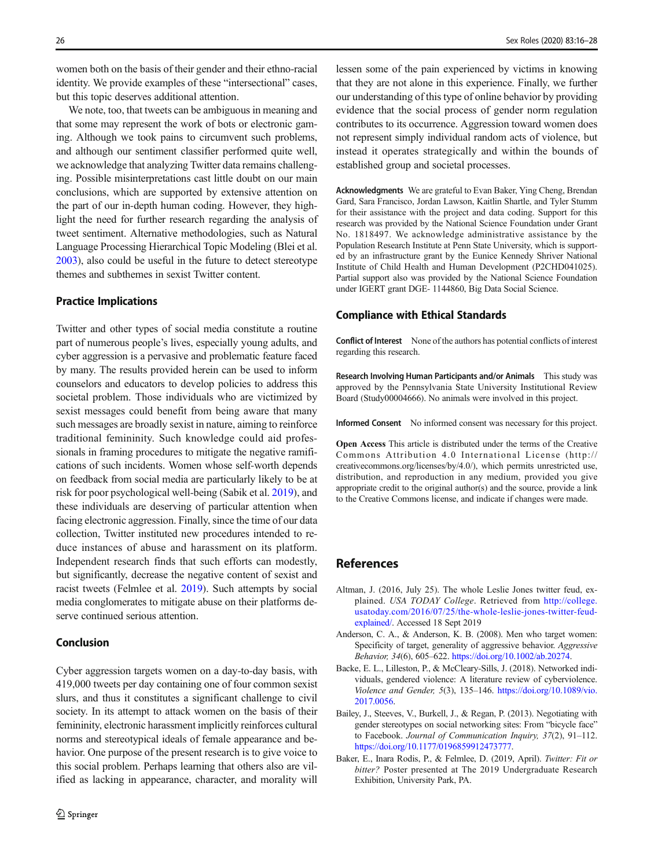<span id="page-10-0"></span>women both on the basis of their gender and their ethno-racial identity. We provide examples of these "intersectional" cases, but this topic deserves additional attention.

We note, too, that tweets can be ambiguous in meaning and that some may represent the work of bots or electronic gaming. Although we took pains to circumvent such problems, and although our sentiment classifier performed quite well, we acknowledge that analyzing Twitter data remains challenging. Possible misinterpretations cast little doubt on our main conclusions, which are supported by extensive attention on the part of our in-depth human coding. However, they highlight the need for further research regarding the analysis of tweet sentiment. Alternative methodologies, such as Natural Language Processing Hierarchical Topic Modeling (Blei et al. [2003\)](#page-11-0), also could be useful in the future to detect stereotype themes and subthemes in sexist Twitter content.

# Practice Implications

Twitter and other types of social media constitute a routine part of numerous people's lives, especially young adults, and cyber aggression is a pervasive and problematic feature faced by many. The results provided herein can be used to inform counselors and educators to develop policies to address this societal problem. Those individuals who are victimized by sexist messages could benefit from being aware that many such messages are broadly sexist in nature, aiming to reinforce traditional femininity. Such knowledge could aid professionals in framing procedures to mitigate the negative ramifications of such incidents. Women whose self-worth depends on feedback from social media are particularly likely to be at risk for poor psychological well-being (Sabik et al. [2019](#page-11-0)), and these individuals are deserving of particular attention when facing electronic aggression. Finally, since the time of our data collection, Twitter instituted new procedures intended to reduce instances of abuse and harassment on its platform. Independent research finds that such efforts can modestly, but significantly, decrease the negative content of sexist and racist tweets (Felmlee et al. [2019\)](#page-11-0). Such attempts by social media conglomerates to mitigate abuse on their platforms deserve continued serious attention.

# Conclusion

Cyber aggression targets women on a day-to-day basis, with 419,000 tweets per day containing one of four common sexist slurs, and thus it constitutes a significant challenge to civil society. In its attempt to attack women on the basis of their femininity, electronic harassment implicitly reinforces cultural norms and stereotypical ideals of female appearance and behavior. One purpose of the present research is to give voice to this social problem. Perhaps learning that others also are vilified as lacking in appearance, character, and morality will

lessen some of the pain experienced by victims in knowing that they are not alone in this experience. Finally, we further our understanding of this type of online behavior by providing evidence that the social process of gender norm regulation contributes to its occurrence. Aggression toward women does not represent simply individual random acts of violence, but instead it operates strategically and within the bounds of established group and societal processes.

Acknowledgments We are grateful to Evan Baker, Ying Cheng, Brendan Gard, Sara Francisco, Jordan Lawson, Kaitlin Shartle, and Tyler Stumm for their assistance with the project and data coding. Support for this research was provided by the National Science Foundation under Grant No. 1818497. We acknowledge administrative assistance by the Population Research Institute at Penn State University, which is supported by an infrastructure grant by the Eunice Kennedy Shriver National Institute of Child Health and Human Development (P2CHD041025). Partial support also was provided by the National Science Foundation under IGERT grant DGE- 1144860, Big Data Social Science.

## Compliance with Ethical Standards

Conflict of Interest None of the authors has potential conflicts of interest regarding this research.

Research Involving Human Participants and/or Animals This study was approved by the Pennsylvania State University Institutional Review Board (Study00004666). No animals were involved in this project.

Informed Consent No informed consent was necessary for this project.

Open Access This article is distributed under the terms of the Creative Commons Attribution 4.0 International License (http:// creativecommons.org/licenses/by/4.0/), which permits unrestricted use, distribution, and reproduction in any medium, provided you give appropriate credit to the original author(s) and the source, provide a link to the Creative Commons license, and indicate if changes were made.

# References

- Altman, J. (2016, July 25). The whole Leslie Jones twitter feud, explained. USA TODAY College. Retrieved from [http://college.](http://college.usatoday.com/2016/07/25/the-whole-leslie-jones-twitter-feud-explained/) [usatoday.com/2016/07/25/the-whole-leslie-jones-twitter-feud](http://college.usatoday.com/2016/07/25/the-whole-leslie-jones-twitter-feud-explained/)[explained/.](http://college.usatoday.com/2016/07/25/the-whole-leslie-jones-twitter-feud-explained/) Accessed 18 Sept 2019
- Anderson, C. A., & Anderson, K. B. (2008). Men who target women: Specificity of target, generality of aggressive behavior. Aggressive Behavior, 34(6), 605–622. <https://doi.org/10.1002/ab.20274>.
- Backe, E. L., Lilleston, P., & McCleary-Sills, J. (2018). Networked individuals, gendered violence: A literature review of cyberviolence. Violence and Gender, 5(3), 135–146. [https://doi.org/10.1089/vio.](https://doi.org/10.1089/vio.2017.0056) [2017.0056](https://doi.org/10.1089/vio.2017.0056).
- Bailey, J., Steeves, V., Burkell, J., & Regan, P. (2013). Negotiating with gender stereotypes on social networking sites: From "bicycle face" to Facebook. Journal of Communication Inquiry, 37(2), 91–112. [https://doi.org/10.1177/0196859912473777.](https://doi.org/10.1177/0196859912473777)
- Baker, E., Inara Rodis, P., & Felmlee, D. (2019, April). Twitter: Fit or bitter? Poster presented at The 2019 Undergraduate Research Exhibition, University Park, PA.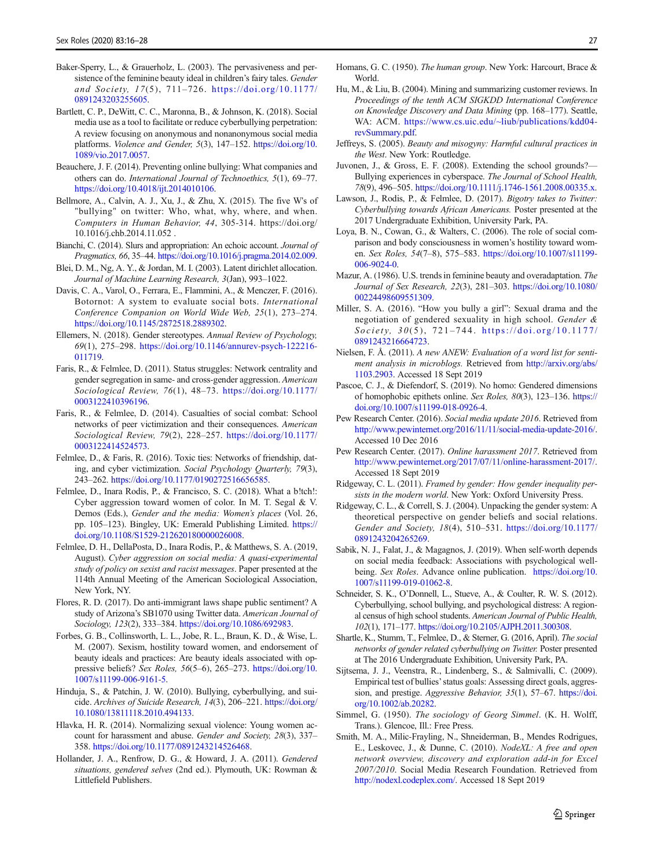- <span id="page-11-0"></span>Baker-Sperry, L., & Grauerholz, L. (2003). The pervasiveness and persistence of the feminine beauty ideal in children's fairy tales. Gender and Society, 17(5), 711–726. [https://doi.org/10.1177/](https://doi.org/10.1177/0891243203255605) [0891243203255605](https://doi.org/10.1177/0891243203255605).
- Bartlett, C. P., DeWitt, C. C., Maronna, B., & Johnson, K. (2018). Social media use as a tool to facilitate or reduce cyberbullying perpetration: A review focusing on anonymous and nonanonymous social media platforms. Violence and Gender, 5(3), 147–152. [https://doi.org/10.](https://doi.org/10.1089/vio.2017.0057) [1089/vio.2017.0057](https://doi.org/10.1089/vio.2017.0057).
- Beauchere, J. F. (2014). Preventing online bullying: What companies and others can do. International Journal of Technoethics, 5(1), 69–77. [https://doi.org/10.4018/ijt.2014010106.](https://doi.org/10.4018/ijt.2014010106)
- Bellmore, A., Calvin, A. J., Xu, J., & Zhu, X. (2015). The five W's of "bullying" on twitter: Who, what, why, where, and when. Computers in Human Behavior, 44, 305-314. https://doi.org/ 10.1016/j.chb.2014.11.052 .
- Bianchi, C. (2014). Slurs and appropriation: An echoic account. Journal of Pragmatics, 66, 35–44. <https://doi.org/10.1016/j.pragma.2014.02.009>.
- Blei, D. M., Ng, A. Y., & Jordan, M. I. (2003). Latent dirichlet allocation. Journal of Machine Learning Research, 3(Jan), 993–1022.
- Davis, C. A., Varol, O., Ferrara, E., Flammini, A., & Menczer, F. (2016). Botornot: A system to evaluate social bots. International Conference Companion on World Wide Web, 25(1), 273–274. [https://doi.org/10.1145/2872518.2889302.](https://doi.org/10.1145/2872518.2889302)
- Ellemers, N. (2018). Gender stereotypes. Annual Review of Psychology, 69(1), 275–298. [https://doi.org/10.1146/annurev-psych-122216-](https://doi.org/10.1146/annurev-psych-122216-011719) [011719.](https://doi.org/10.1146/annurev-psych-122216-011719)
- Faris, R., & Felmlee, D. (2011). Status struggles: Network centrality and gender segregation in same- and cross-gender aggression. American Sociological Review, 76(1), 48–73. [https://doi.org/10.1177/](https://doi.org/10.1177/0003122410396196) [0003122410396196](https://doi.org/10.1177/0003122410396196).
- Faris, R., & Felmlee, D. (2014). Casualties of social combat: School networks of peer victimization and their consequences. American Sociological Review, 79(2), 228–257. [https://doi.org/10.1177/](https://doi.org/10.1177/0003122414524573) [0003122414524573](https://doi.org/10.1177/0003122414524573).
- Felmlee, D., & Faris, R. (2016). Toxic ties: Networks of friendship, dating, and cyber victimization. Social Psychology Quarterly, 79(3), 243–262. <https://doi.org/10.1177/0190272516656585>.
- Felmlee, D., Inara Rodis, P., & Francisco, S. C. (2018). What a b!tch!: Cyber aggression toward women of color. In M. T. Segal & V. Demos (Eds.), Gender and the media: Women's places (Vol. 26, pp. 105–123). Bingley, UK: Emerald Publishing Limited. [https://](https://doi.org/10.1108/S1529-212620180000026008) [doi.org/10.1108/S1529-212620180000026008](https://doi.org/10.1108/S1529-212620180000026008).
- Felmlee, D. H., DellaPosta, D., Inara Rodis, P., & Matthews, S. A. (2019, August). Cyber aggression on social media: A quasi-experimental study of policy on sexist and racist messages. Paper presented at the 114th Annual Meeting of the American Sociological Association, New York, NY.
- Flores, R. D. (2017). Do anti-immigrant laws shape public sentiment? A study of Arizona's SB1070 using Twitter data. American Journal of Sociology, 123(2), 333–384. <https://doi.org/10.1086/692983>.
- Forbes, G. B., Collinsworth, L. L., Jobe, R. L., Braun, K. D., & Wise, L. M. (2007). Sexism, hostility toward women, and endorsement of beauty ideals and practices: Are beauty ideals associated with oppressive beliefs? Sex Roles, 56(5–6), 265–273. [https://doi.org/10.](https://doi.org/10.1007/s11199-006-9161-5) [1007/s11199-006-9161-5.](https://doi.org/10.1007/s11199-006-9161-5)
- Hinduja, S., & Patchin, J. W. (2010). Bullying, cyberbullying, and suicide. Archives of Suicide Research, 14(3), 206–221. [https://doi.org/](https://doi.org/10.1080/13811118.2010.494133) [10.1080/13811118.2010.494133.](https://doi.org/10.1080/13811118.2010.494133)
- Hlavka, H. R. (2014). Normalizing sexual violence: Young women account for harassment and abuse. Gender and Society, 28(3), 337-358. [https://doi.org/10.1177/0891243214526468.](https://doi.org/10.1177/0891243214526468)
- Hollander, J. A., Renfrow, D. G., & Howard, J. A. (2011). Gendered situations, gendered selves (2nd ed.). Plymouth, UK: Rowman & Littlefield Publishers.
- Homans, G. C. (1950). The human group. New York: Harcourt, Brace & World.
- Hu, M., & Liu, B. (2004). Mining and summarizing customer reviews. In Proceedings of the tenth ACM SIGKDD International Conference on Knowledge Discovery and Data Mining (pp. 168–177). Seattle, WA: ACM. [https://www.cs.uic.edu/~liub/publications/kdd04](https://www.cs.uic.edu/~liub/publications/kdd04-revSummary.pdf) [revSummary.pdf.](https://www.cs.uic.edu/~liub/publications/kdd04-revSummary.pdf)
- Jeffreys, S. (2005). Beauty and misogyny: Harmful cultural practices in the West. New York: Routledge.
- Juvonen, J., & Gross, E. F. (2008). Extending the school grounds?— Bullying experiences in cyberspace. The Journal of School Health, 78(9), 496–505. [https://doi.org/10.1111/j.1746-1561.2008.00335.x.](https://doi.org/10.1111/j.1746-1561.2008.00335.x)
- Lawson, J., Rodis, P., & Felmlee, D. (2017). Bigotry takes to Twitter: Cyberbullying towards African Americans. Poster presented at the 2017 Undergraduate Exhibition, University Park, PA.
- Loya, B. N., Cowan, G., & Walters, C. (2006). The role of social comparison and body consciousness in women's hostility toward women. Sex Roles, 54(7–8), 575–583. [https://doi.org/10.1007/s11199-](https://doi.org/10.1007/s11199-006-9024-0) [006-9024-0](https://doi.org/10.1007/s11199-006-9024-0).
- Mazur, A. (1986). U.S. trends in feminine beauty and overadaptation. The Journal of Sex Research, 22(3), 281–303. [https://doi.org/10.1080/](https://doi.org/10.1080/00224498609551309) [00224498609551309](https://doi.org/10.1080/00224498609551309).
- Miller, S. A. (2016). "How you bully a girl": Sexual drama and the negotiation of gendered sexuality in high school. Gender & Society,  $30(5)$ ,  $721-744$ . [https://doi.org/10.1177/](https://doi.org/10.1177/0891243216664723) [0891243216664723](https://doi.org/10.1177/0891243216664723).
- Nielsen, F. Å. (2011). A new ANEW: Evaluation of a word list for sentiment analysis in microblogs. Retrieved from [http://arxiv.org/abs/](http://arxiv.org/abs/1103.2903) [1103.2903.](http://arxiv.org/abs/1103.2903) Accessed 18 Sept 2019
- Pascoe, C. J., & Diefendorf, S. (2019). No homo: Gendered dimensions of homophobic epithets online. Sex Roles, 80(3), 123–136. [https://](https://doi.org/10.1007/s11199-018-0926-4) [doi.org/10.1007/s11199-018-0926-4.](https://doi.org/10.1007/s11199-018-0926-4)
- Pew Research Center. (2016). Social media update 2016. Retrieved from <http://www.pewinternet.org/2016/11/11/social-media-update-2016/>. Accessed 10 Dec 2016
- Pew Research Center. (2017). Online harassment 2017. Retrieved from <http://www.pewinternet.org/2017/07/11/online-harassment-2017/>. Accessed 18 Sept 2019
- Ridgeway, C. L. (2011). Framed by gender: How gender inequality persists in the modern world. New York: Oxford University Press.
- Ridgeway, C. L., & Correll, S. J. (2004). Unpacking the gender system: A theoretical perspective on gender beliefs and social relations. Gender and Society, 18(4), 510–531. [https://doi.org/10.1177/](https://doi.org/10.1177/0891243204265269) [0891243204265269](https://doi.org/10.1177/0891243204265269).
- Sabik, N. J., Falat, J., & Magagnos, J. (2019). When self-worth depends on social media feedback: Associations with psychological wellbeing. Sex Roles. Advance online publication. [https://doi.org/10.](https://doi.org/10.1007/s11199-019-01062-8) [1007/s11199-019-01062-8](https://doi.org/10.1007/s11199-019-01062-8).
- Schneider, S. K., O'Donnell, L., Stueve, A., & Coulter, R. W. S. (2012). Cyberbullying, school bullying, and psychological distress: A regional census of high school students. American Journal of Public Health, 102(1), 171–177. [https://doi.org/10.2105/AJPH.2011.300308.](https://doi.org/10.2105/AJPH.2011.300308)
- Shartle, K., Stumm, T., Felmlee, D., & Sterner, G. (2016, April). The social networks of gender related cyberbullying on Twitter. Poster presented at The 2016 Undergraduate Exhibition, University Park, PA.
- Sijtsema, J. J., Veenstra, R., Lindenberg, S., & Salmivalli, C. (2009). Empirical test of bullies'status goals: Assessing direct goals, aggression, and prestige. Aggressive Behavior, 35(1), 57–67. [https://doi.](https://doi.org/10.1002/ab.20282) [org/10.1002/ab.20282.](https://doi.org/10.1002/ab.20282)
- Simmel, G. (1950). The sociology of Georg Simmel. (K. H. Wolff, Trans.). Glencoe, Ill.: Free Press.
- Smith, M. A., Milic-Frayling, N., Shneiderman, B., Mendes Rodrigues, E., Leskovec, J., & Dunne, C. (2010). NodeXL: A free and open network overview, discovery and exploration add-in for Excel 2007/2010. Social Media Research Foundation. Retrieved from [http://nodexl.codeplex.com/.](http://nodexl.codeplex.com/) Accessed 18 Sept 2019